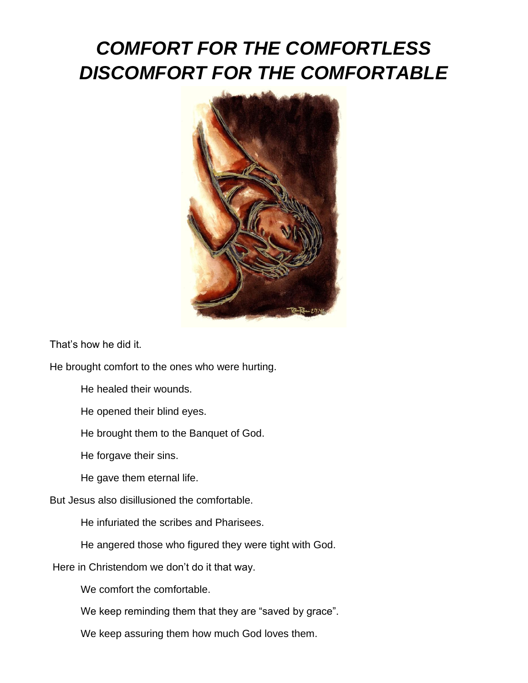## *COMFORT FOR THE COMFORTLESS DISCOMFORT FOR THE COMFORTABLE*



That's how he did it.

He brought comfort to the ones who were hurting.

He healed their wounds.

He opened their blind eyes.

He brought them to the Banquet of God.

He forgave their sins.

He gave them eternal life.

But Jesus also disillusioned the comfortable.

He infuriated the scribes and Pharisees.

He angered those who figured they were tight with God.

Here in Christendom we don't do it that way.

We comfort the comfortable.

We keep reminding them that they are "saved by grace".

We keep assuring them how much God loves them.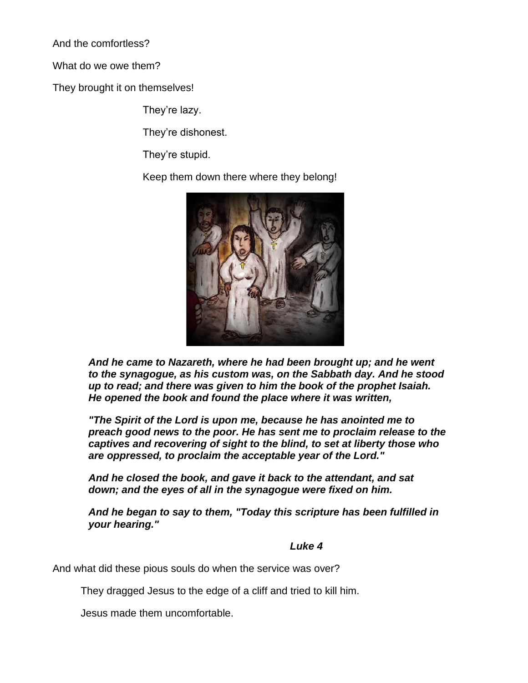And the comfortless?

What do we owe them?

They brought it on themselves!

They're lazy.

They're dishonest.

They're stupid.

Keep them down there where they belong!



*And he came to Nazareth, where he had been brought up; and he went to the synagogue, as his custom was, on the Sabbath day. And he stood up to read; and there was given to him the book of the prophet Isaiah. He opened the book and found the place where it was written,*

*"The Spirit of the Lord is upon me, because he has anointed me to preach good news to the poor. He has sent me to proclaim release to the captives and recovering of sight to the blind, to set at liberty those who are oppressed, to proclaim the acceptable year of the Lord."*

*And he closed the book, and gave it back to the attendant, and sat down; and the eyes of all in the synagogue were fixed on him.*

*And he began to say to them, "Today this scripture has been fulfilled in your hearing."*

## *Luke 4*

And what did these pious souls do when the service was over?

They dragged Jesus to the edge of a cliff and tried to kill him.

Jesus made them uncomfortable.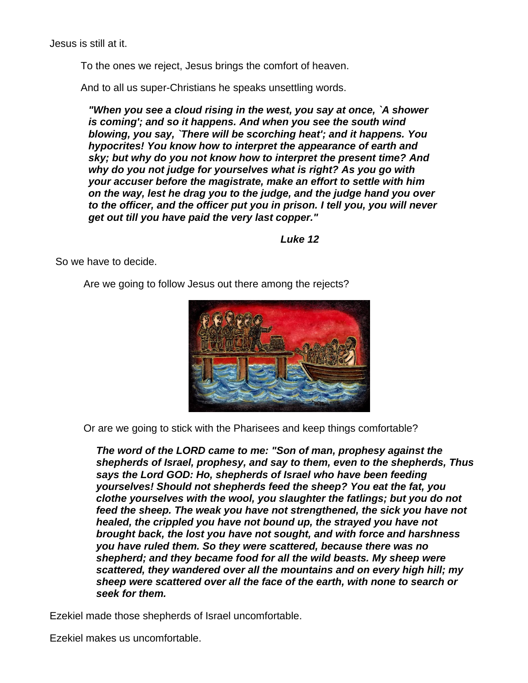Jesus is still at it.

To the ones we reject, Jesus brings the comfort of heaven.

And to all us super-Christians he speaks unsettling words.

*"When you see a cloud rising in the west, you say at once, `A shower is coming'; and so it happens. And when you see the south wind blowing, you say, `There will be scorching heat'; and it happens. You hypocrites! You know how to interpret the appearance of earth and sky; but why do you not know how to interpret the present time? And why do you not judge for yourselves what is right? As you go with your accuser before the magistrate, make an effort to settle with him on the way, lest he drag you to the judge, and the judge hand you over to the officer, and the officer put you in prison. I tell you, you will never get out till you have paid the very last copper."*

*Luke 12*

So we have to decide.

Are we going to follow Jesus out there among the rejects?



Or are we going to stick with the Pharisees and keep things comfortable?

*The word of the LORD came to me: "Son of man, prophesy against the shepherds of Israel, prophesy, and say to them, even to the shepherds, Thus says the Lord GOD: Ho, shepherds of Israel who have been feeding yourselves! Should not shepherds feed the sheep? You eat the fat, you clothe yourselves with the wool, you slaughter the fatlings; but you do not feed the sheep. The weak you have not strengthened, the sick you have not healed, the crippled you have not bound up, the strayed you have not brought back, the lost you have not sought, and with force and harshness you have ruled them. So they were scattered, because there was no shepherd; and they became food for all the wild beasts. My sheep were scattered, they wandered over all the mountains and on every high hill; my sheep were scattered over all the face of the earth, with none to search or seek for them.*

Ezekiel made those shepherds of Israel uncomfortable.

Ezekiel makes us uncomfortable.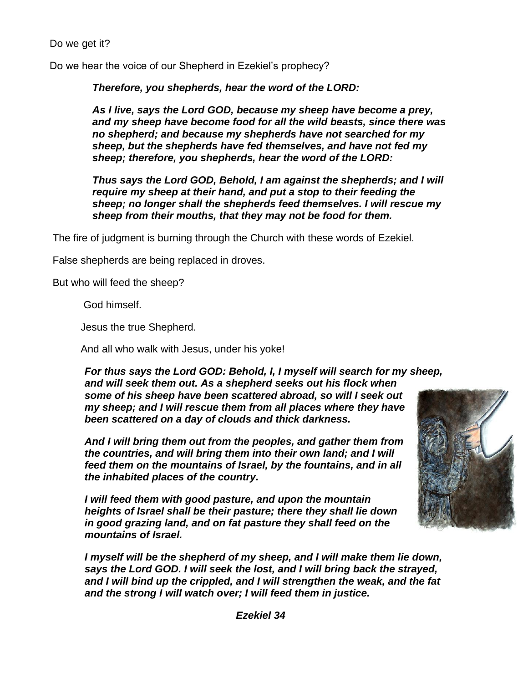Do we get it?

Do we hear the voice of our Shepherd in Ezekiel's prophecy?

*Therefore, you shepherds, hear the word of the LORD:*

*As I live, says the Lord GOD, because my sheep have become a prey, and my sheep have become food for all the wild beasts, since there was no shepherd; and because my shepherds have not searched for my sheep, but the shepherds have fed themselves, and have not fed my sheep; therefore, you shepherds, hear the word of the LORD:*

*Thus says the Lord GOD, Behold, I am against the shepherds; and I will require my sheep at their hand, and put a stop to their feeding the sheep; no longer shall the shepherds feed themselves. I will rescue my sheep from their mouths, that they may not be food for them.*

The fire of judgment is burning through the Church with these words of Ezekiel.

False shepherds are being replaced in droves.

But who will feed the sheep?

God himself.

Jesus the true Shepherd.

And all who walk with Jesus, under his yoke!

*For thus says the Lord GOD: Behold, I, I myself will search for my sheep,* 

*and will seek them out. As a shepherd seeks out his flock when some of his sheep have been scattered abroad, so will I seek out my sheep; and I will rescue them from all places where they have been scattered on a day of clouds and thick darkness.*

*And I will bring them out from the peoples, and gather them from the countries, and will bring them into their own land; and I will feed them on the mountains of Israel, by the fountains, and in all the inhabited places of the country.*

*I will feed them with good pasture, and upon the mountain heights of Israel shall be their pasture; there they shall lie down in good grazing land, and on fat pasture they shall feed on the mountains of Israel.*

*I myself will be the shepherd of my sheep, and I will make them lie down, says the Lord GOD. I will seek the lost, and I will bring back the strayed, and I will bind up the crippled, and I will strengthen the weak, and the fat and the strong I will watch over; I will feed them in justice.*



 *Ezekiel 34*